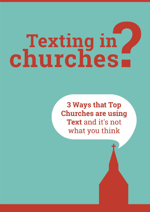# Texting in

**3 Ways that Top Churches are using** Text and it's not what you think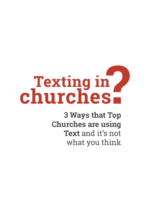# Texting in

**3 Ways that Top Churches are using Text** and it's not what you think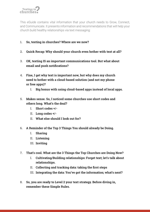

This eGuide contains vital information that your church needs to Grow, Connect, and Communicate. It presents information and recommendations that will help your church build healthy relationships via text messaging:

### **1. So, texting in churches? Where are we now?**

- **2. Quick Recap: Why should your church even bother with text at all?**
- **3. OK, texting IS an important communications tool. But what about email and push notiications?**
- **4. Fine, I get why text is important now, but why does my church need to bother with a cloud-based solution (and not my phone or free apps)?**
	- **I. Big bonus with using cloud-based apps instead of local apps.**
- **5. Makes sense. So, I noticed some churches use short codes and others long. What's the deal?**
	- **I. Short codes +/-**
	- **II. Long codes +/-**
	- **II. What else should I look out for?**
- **6. A Reminder of the Top 3 Things You should already be Doing.**
	- **I. Sharing**
	- **II. Listening**
	- **III. Inviting**
- **7. That's cool. What are the 3 Things the Top Churches are Doing Now?**
	- **I. Cultivating/Building relationships: Forget text; let's talk about relationships.**
	- II. Collecting and tracking data: taking the first steps
	- **III. Integrating the data: You've got the information; what's next?**
- **8. So, you are ready to Level 2 your text strategy. Before diving in, remember these Simple Rules.**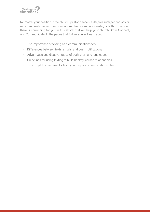

No matter your position in the church--pastor, deacon, elder, treasurer, technology director and webmaster, communications director, ministry leader, or faithful memberthere is something for you in this ebook that will help your church Grow, Connect, and Communicate. In the pages that follow, you will learn about:

- The importance of texting as a communications tool
- Differences between texts, emails, and push notifications
- Advantages and disadvantages of both short and long codes
- Guidelines for using texting to build healthy, church relationships
- Tips to get the best results from your digital communications plan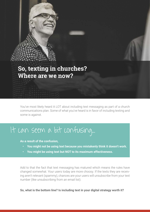# **So, texting in churches? Where are we now?**

You've most likely heard A LOT about including text messaging as part of a church communications plan. Some of what you've heard is in favor of including texting and some is against.

# It can seem a bit confusing...

**As a result of the confusion,** 

- **You might not be using text because you mistakenly think it doesn't work.**
- **You might be using text but NOT to its maximum effectiveness.**

Add to that the fact that text messaging has matured which means the rules have changed somewhat. Your users today are more choosy. If the texts they are receiving aren't relevant (spammy), chances are your users will unsubscribe from your text number (like unsubscribing from an email list).

**So, what is the bottom line? Is including text in your digital strategy worth it?**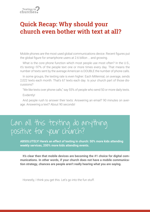

# **Quick Recap: Why should your church even bother with text at all?**

Mobile phones are the most used global communications device. Recent figures put the global figure for smartphone users at 2.6 billion ... and growing.

What is the core phone function which most people use most often? In the U.S., it's texting—97% of the people text one or more times every day. That means the number of texts sent by the average American is DOUBLE the number of phone calls.

In some groups, the texting rate is even higher. Each Millennial, on average, sends 2,022 texts each month. That's 67 texts each day. Is your church part of those discussions?

"We like texts over phone calls," say 55% of people who send 50 or more daily texts. Evidently!

And people rush to answer their texts: Answering an email? 90 minutes on average. Answering a text? About 90 seconds!

# Can all this texting do anything positive for your church?

**ABSOLUTELY! Here's an effect of texting in church: 50% more kids attending weekly services, 200% more kids attending events.**

**It's clear then that mobile devices are becoming the #1 choice for digital communications. In other words, if your church does not have a mobile communication strategy, chances are people aren't really hearing what you are saying.** 

Honestly, I think you get this. Let's go into the fun stuff.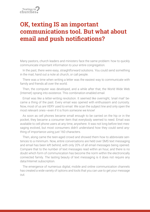# **OK, texting IS an important communications tool. But what about email and push notifications?**

Many pastors, church leaders and ministers face the same problem: how to quickly communicate important information to your entire congregation.

In the past, there were easy, straightforward solutions. You could send something in the mail, hand out a note at church, or call people.

There was a time when writing a letter was the easiest way to communicate with family and friends all over the world.

Then, the computer was developed, and a while after that, the World Wide Web (Internet) sprang into existence. This combination enabled email.

Email was like a letter-writing revolution. It seemed like overnight, 'snail mail' became a thing of the past. Every email was opened with enthusiasm and curiosity. Now, most of us are VERY used to email. We scan the subject line and only open the most relevant ones—even if it is from someone we know!

As soon as cell phones became small enough to be carried on the hip or in the pocket, they became a consumer item that everybody seemed to need. Email was available to cell phone users at any time, anywhere. It was not long before text messaging evolved, but most consumers didn't understand how they could send anything of importance using just 160 characters.

Then, along came the teen-aged crowd and showed them how to abbreviate sentences to a minimum. Now, entire conversations are held over SMS text messaging and email has been left behind, with only 20% of all email messages being opened. Compare that to the number of text messages read within an hour, and there is no doubt which form of communication has become the norm within the electronically connected family. The lasting beauty of text messaging is it does not require any data/Internet subscription.

The emergence of numerous digital, mobile and online communication channels has created a wide variety of options and tools that you can use to get your message out.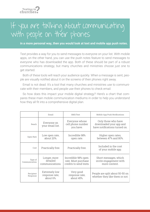

# If you are talking about communicating with people on their phones

**in a more personal way, then you would look at text and mobile app push notes.**

Text provides a way for you to send messages to everyone on your list. With mobile apps, on the other hand, you can use the push notes feature to send messages to everyone who has downloaded the app. Both of these should be part of a robust communications strategy, but many churches and ministries choose just one to get started.

Both of these tools will reach your audience quickly. When a message is sent, people are visually notified about it on the screens of their phones right away.

Email is not dead. It's a tool that many churches and ministries use to communicate with their members, and people use their phones to check email.

So how does this impact your mobile digital strategy? Here's a chart that compares these main mobile communication mediums in order to help you understand how they all fit into a comprehensive digital plan.

|                          | Email                                        | SMS/Text                                                             | Mobile App Push Notifications                                                   |  |
|--------------------------|----------------------------------------------|----------------------------------------------------------------------|---------------------------------------------------------------------------------|--|
| Reach                    | Everyone on<br>your email list.              | Everyone whose<br>cell phone number<br>you have.                     | Only those who have<br>downloaded your app and<br>have notifications turned on. |  |
| Open Rate                | Low open rate,<br>about 20%.                 | Incredible 98%<br>open rate.                                         | Higher open rates,<br>between 47% and 80%.                                      |  |
| Cost                     | Practically free.                            | Practically free.                                                    | Included in the cost<br>of your mobile app.                                     |  |
| Type of<br>Communication | Longer, more<br>detailed<br>communications.  | Incredible 98% open<br>rate. Must purchase<br>credits to send texts. | Short messages, which<br>invite engagement with<br>more content.                |  |
| Recipient<br>Response    | Extremely low<br>response rate,<br>about 6%. | Very good<br>response rate,<br>about 45%.                            | People are split about 50-50 on<br>whether they like them or not.               |  |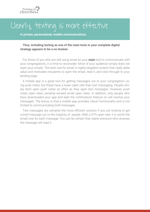

# Clearly, texting is more effective

**in private, personalized, mobile communications.**

### **Thus, including texting as one of the main tools in your complete digital strategy appears to be a no-brainer.**

For those of you who are still using email as your **main** tool to communicate with your congregations, it is time to reconsider. Most of your audience simply does not open your emails. The best use for email is highly-targeted content that really adds value and motivates recipients to open the email, read it, and click through to your landing page.

A mobile app is a great tool for getting messages out to your congregation using push notes, but these have a lower open rate than text messaging. People simply don't open push notes as often as they open text messages. However, push notes open rates certainly exceed email open rates. In addition, only people who have downloaded your app and kept the notifications feature on will receive your messages. The bonus is that a mobile app provides robust functionality and is not limited to communicating brief messages.

Text messages are certainly the most eficient solution if you are looking to get a brief message out to the majority of people. With a 97% open rate, it is worth the small cost for each message. You can be certain that nearly everyone who receives the message will read it.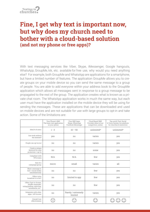

# **Fine, I get why text is important now, but why does my church need to bother with a cloud-based solution (and not my phone or free apps)?**

With text messaging services like Viber, Skype, iMessenger, Google hangouts, WhatsApp, GroupMe, kik, etc. available for free use, why would you need anything else? For example, both GroupMe and WhatsApp are applications for a smartphone, but have a limited number of features. The application GroupMe allows you to create groups on your mobile device so you can send the same message to a group of people. You are able to add everyone within your address book to the GroupMe application which allows all messages sent in response to a group message to be propagated to the rest of the group. The application creates what is known as a private chat room. The WhatsApp application works in much the same way, but each user must have the application installed on the mobile device they will be using for sending the messages. These are applications that can be downloaded and used on mobile devices and are not suitable for use with large groups to opt-in and take action. Some of the limitations are:

|                                                                                               | Your Phone's SMS<br>The basic text application<br>on your phone | Free SMS Apps<br>Skype, WhatsApp<br>Facebook Messenger | Cloud Based SMS<br>Providers Most of our<br>competitors, online | Top-notch Text, Social<br>& Voice System Our platform<br>for churches & ministries |
|-----------------------------------------------------------------------------------------------|-----------------------------------------------------------------|--------------------------------------------------------|-----------------------------------------------------------------|------------------------------------------------------------------------------------|
| Ideal # of users                                                                              | $1 - 3$                                                         | $10 - 50$                                              | unlimited*                                                      | unlimited*                                                                         |
| Can work without<br>the Internet?                                                             | yes                                                             | no                                                     | varies                                                          | yes                                                                                |
| People can opt in/out                                                                         | no                                                              | no                                                     | varies                                                          | yes                                                                                |
| Create a unique<br>keyword for easy<br>promotion + opt in                                     | no                                                              | no                                                     | some                                                            | yes                                                                                |
| Compliant with<br><b>TPCA</b> laws                                                            | N/A                                                             | N/A                                                    | few                                                             | yes                                                                                |
| Size of a<br>campaign/group                                                                   | micro                                                           | small                                                  | varies                                                          | all                                                                                |
| Blast a message to<br>text + social media<br>simultaneously                                   | no                                                              | no                                                     | few                                                             | yes                                                                                |
| Offers voice<br>broadcast to a list?                                                          | no                                                              | limited to app                                         | few                                                             | yes                                                                                |
| Offers Text-to-Screen.<br>shuffle responder,<br>voting/polling, reporting,<br>automation, etc | no                                                              | no                                                     | few                                                             | yes                                                                                |
| Integrates with other<br>apps / API Access                                                    | no                                                              | Rarely / extremely<br>limited                          | varies                                                          | yes                                                                                |
| Overall Cost<br>effectiveness                                                                 |                                                                 |                                                        |                                                                 |                                                                                    |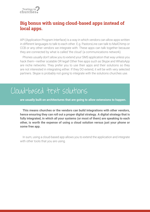

# **Big bonus with using cloud-based apps instead of local apps.**

API (Application Program Interface) is a way in which vendors can allow apps written in different languages to talk to each other. E.g. PastorsLine can talk to MailChimp or CCB or any other vendors we integrate with. These apps can talk together because they are connected by what is called 'the cloud' (a communications network).

Phones usually don't allow you to extend your SMS application that way unless you hack them—neither scalable OR legal! Other free apps such as Skype and WhatsApp are niche networks. They prefer you to use their apps and their solutions so they are not interested in integrating either. If they DO extend, it will be with very selected partners. Skype is probably not going to integrate with the solutions churches use.

# Cloud-based text solutions

**are usually built on architectures that are going to allow extensions to happen.** 

**This means churches or the vendors can build integrations with other vendors, hence ensuring they can roll out a proper digital strategy. A digital strategy that is fully integrated, in which all your systems (or most of them) are speaking to each other, is worth the expense of using a cloud solution versus just your phone or some free app.**

In sum, using a cloud-based app allows you to extend the application and integrate with other tools that you are using.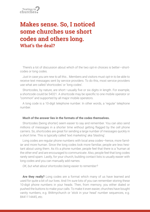# **Makes sense. So, I noticed some churches use short codes and others long. What's the deal?**

There's a lot of discussion about which of the two opt-in choices is better—shortcodes or long codes.

*Just in case you are new to all this…* Members and visitors must opt-in to be able to receive text messages sent by service providers. To do this, most service providers use what are called 'shortcodes' or 'long codes'.

Shortcodes, by nature, are short-usually five or six digits in length. For example, a shortcode could be 54321. A shortcode may be specific to one mobile operator or "common" and supported by all major mobile operators.

A long code is a 10-digit telephone number. In other words, a 'regular' telephone number.

### **Much of the answer lies in the formats of the codes themselves.**

Shortcodes (being shorter) seem easier to say and remember. You can also send millions of messages in a shorter time without getting flagged by the cell phone carriers. So, shortcodes are great for sending a large number of messages quickly in a short time. This is typically called 'text marketing' aka 'blasting'.

Long codes are regular phone numbers with local area codes—hence, more familiar and more human. Since the long codes look more familiar, people are less hesitant about using them. As it's a phone number, people feel that there is a 'human at the other end' and are encouraged to communicate. Also, people feel that long codes rarely send spam. Lastly, for your church, building contact lists is usually easier with long codes and you can manually add names.

*OK, but what about shortcodes being easier to remember?*

**Are they really?** Long codes are a format which many of us have learned and used for quite a bit of our lives. And I'm sure lots of you can remember storing these 10-digit phone numbers in your heads. Then, from memory, you either dialed or pushed the buttons to make your calls. To make it even easier, churches have bought vanity numbers, e.g. 844mychurch or 'stick in your head' number sequences, e.g. 8441114445, etc.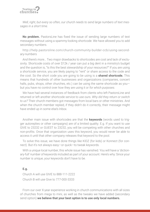

*Well, right, but every so often, our church needs to send large numbers of text messages in a short time.*

**No problem.** PastorsLine has fixed the issue of sending large numbers of text messages without using a spammy-looking shortcode. We have allowed you to add secondary numbers.

http://help.pastorsline.com/church-community-builder-ccb/using-secondary-numbers

*And there's more…* Two major drawbacks to shortcodes are cost and lack of exclusivity. Shortcode costs of over \$12k / year can put a big dent in a ministry's budget and the question is, "Is this the best stewardship of your resources?" If you are using a shortcode service, you are likely paying to "rent" or share access to the code and the cost. So the short code you are going to be using is a **shared shortcode.** This means that hundreds of other businesses and organizations (companies, concert halls, pubs, shops, other churches, etc.) can be using the same shortcode as youbut you have no control over *how* they are using it or *for which purposes.*

We have had several instances of feedback from clients who left PastorsLine and returned or left another shortcode service to use ours. *Why did they return or switch to us?* Their church members got messages from local bars or other ministries. And when the church member replied, if they didn't do it correctly, their message might have ended up in some else's Inbox.

Another main issue with shortcodes are that the **keywords** (words used to trigger autoreplies or other campaigns) are of a limited quality. E.g. If you want to use GIVE to 23232 or GUEST to 23232, you will be competing with other churches and non-profits. Once that organization uses this keyword, you would never be able to access it until that other company releases that keyword to the pool.

To solve this issue, we have done things like KIDZ (for kids) or Konnect (for connect). But it's not always easy—or quick—to tweak keywords.

With a unique local number, this whole issue has vanished. You will have a 'dictionary-full' number of keywords included as part of your account. Here's why: Since your number is unique, your keywords don't have to be.

### **E.g.**

Church A will use GIVE to 888-111-2222 Church B will use Give to 777-000-3333

From our over X-year experience working in church communications with all sizes of churches from mega to mini, as well as the tweaks we have added (secondary send option) **we believe that your best option is to use only local numbers.**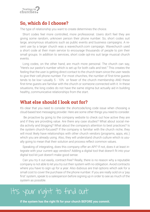

### **So, which do I choose?**

The type of relationship you want to create determines the choice.

Short codes feel more controlled, more professional. Users don't feel they are giving some random, unknown person their phone number. So, short codes suit large, anonymous situations such as public events and business campaigns. A recent use by a larger church was a wavechurch.com campaign. Wavechurch used a short code at their main service to encourage thousands of people to join their small groups. In addition to services, short code opt-ins suit large musical church events.

Long codes, on the other hand, are much more personal. The church can say, "Here's our pastor's number which is set up for both calls and text." This creates the feeling that the user is getting direct contact to the church team since the user needs to give their cell phone number. For most churches, the number of first-time guests tends to be low—usually 5 - 10% or fewer of the church membership AND these first-time quests are familiar with the church or someone connected with it. In these situations, the long codes do not have the same stigma but actually aid in building healthy, communicative relationships from the start.

### **What else should I look out for?**

It's clear that you need to consider the shortcode/long code issue when choosing a cloud-based text messaging provider. Here are some other things you need to consider.

 Be proactive by going to the company website to check out how active they are and if they are providing value. Are there any case studies? What about social media activity and blogging? What about the company's attention to best practices? Is the system church-focused? If the company is familiar with the church niche, they will most likely have relationships with other church vendors (programs, apps, etc.) which you are already using. Also, they will understand church culture which is usually going to mean that their solution and process reflect common values.

Speaking of integrating, does this company offer an API? If not, does it at least integrate with your current app vendors? Adding a digital tool that doesn't fit into your digital tool kit just doesn't make good sense.

Can you try it out easily, contract-free? Really, there is no reason why a reputable company is not able to let you try out their system with no obligation. Avoid contracts where you have to sign up for a year. Also dubious are trial options which ask for a small cost to cover the purchase of the phone number. If you are really sold on a 'pay first' system, speak to a salesperson before signing up in order to see as much of the system as possible.

# It's your right to find out

if the system has the right fit for your church BEFORE you commit.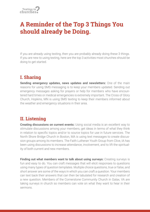# **A Reminder of the Top 3 Things You should already be Doing.**

If you are already using texting, then you are probably already doing these 3 things. If you are new to using texting, here are the top 3 activities most churches should be doing to get started.

# **I. Sharing**

**Sending emergency updates, news updates and newsletters:** One of the main reasons for using SMS messaging is to keep your members updated. Sending out emergency messages asking for prayers or help for members who have encountered hard times or medical emergencies is extremely important. The Cross of Glory Church, Hopkins, MN is using SMS texting to keep their members informed about the weather and emergency situations in their area.

# **II. Listening**

**Creating discussions on current events:** Using social media is an excellent way to stimulate discussions among your members, get ideas in terms of what they think in relation to specific topics and/or to source topics for use in future services. The North Shore Bridge Church in Boston, MA is using text messages to create discussion groups among its members. The Faith Lutheran Youth Group from Clive, IA has been using discussions to increase attendance, involvement, and to lift the spirituality of both current and new members.

**Finding out what members want to talk about using surveys:** Creating surveys is fun and easy to do. You can craft messages that will elicit responses to questions using many types of question templates. Multiple choice questions, true or false, and short answer are some of the ways in which you can craft a question. Your members can text back their answers that can then be tabulated for research and creation of a new question. Members of the Cornerstone Community Church in Galax, VA are taking surveys in church so members can vote on what they want to hear in their sermons.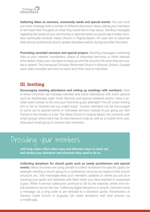

**Gathering ideas on sermons, community needs and special events:** You can send out a text message with a number of different discussion ideas, asking your members to text back their thoughts on what they would like to hear about. Sending messages regarding the needs of your community or special events is a great way to keep members continually involved. Wave Church in Virginia Beach, VA uses text to advertise their annual conferences and to update attendees before, during and after the event.

**Promoting recorded sermons and special prayers:** Sending messages containing links to your website, newsletters, videos of important sermons, or other relevant information, helps your members to keep up with the church's life when they are unable to attend. The Immanuel Christian Reformed Church in Simcoe, Ontario, Canada uses video recorded sermons to reach all of their shut-in members.

# **III. Inviting**

**Encouraging meeting attendance and setting up meetings with members:** Here is where churches can increase member and visitor attendance with event options such as Wednesday night Youth Services and special weekend events. Have a another event similar to the one your first-time guest attended? Fire off a text inviting him or her to "another one you might enjoy". Current members can be encouraged to come out to special events or mid-week services instead of just going out with friends to the movies or a bar. The Wave Church in Virginia Beach, VA, connects with small groups where each has its own keyword code as well as a mobile form, enabling each small group to contact their members.

# Providing your members

**with long codes offers them easy and effective ways to reach out and contact you whenever and wherever they need to do so.**

**Collecting donations for church goals such as needy parishioners and special events:** Many churches are using portals to collect donations for specific goals; for example: sending a church group to a conference, carrying out repairs to the church structure, etc. Text messages keep your members updated on where you are at in reaching your goals and celebrate with them when you have reached or surpassed a goal. While in-service collections continue to fall by the wayside, online and mobile donations are on the rise. Collecting digital donations is simple: members send a message via a long code or are directed to a donation portal. Parishioners of Stevens Creek Church in Augusta, GA, make donations with their phones via a mobile app.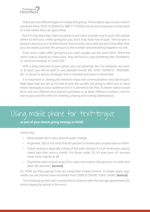

There are two different types of mobile text giving. The simplest type is one in which someone texts 'GIVE' to 83434 (or 888-777-6543) and an auto response comes back to a link where they can give online.

But if it only does that, then you pretty much have a simple way to auto-info people where to find your online giving but you don't truly have text-to-give. Text-to-give is going to send you to a mobile phone once to enter your card, but each time after that, you can easily just text the amount to the number and everything happens via text.

Even short codes offer giving but you can't usually use the word GIVE. Since the short code is shared by many uses, they will have to use something like 'GiveMetro' or 'GiveChurchname' or 'Give1232'.

With a long code text-to-give option, you can generally set it to whatever you wish or at least, you will be able to use standard words like 'GIVE', 'DONATE', 'MISSION', etc. to launch a giving campaign that is branded and easy to remember.

It is important to distinguish between mass text communication and text-to-give. Web Apps that are set up for text-to-give are usually not going to allow you to send mass messages to your audience (nor it is advised to do this). A clearer option would be to use two different text solution providers or at least different numbers: one for text-to-give and the other for listening, sharing and inviting (attendance).

# Using mobile phone for text-to-give

**as part of your church giving strategy is HUGE!** 

Here's why:

- Most people don't carry around spare change.
- In general, \$50 is the most that 80 percent of Americans usually have on them.
- Check-writing is basically a thing of the past. Almost 34 of all Americans pay by check less than once a month. For those under 25, it's even less—61 percent never write checks at all!
- Payments have moved away from cash and checks (84 percent) to credit and debit (82 percent). [\[source\]](https://markets.jpmorgan.com/research/email/f7jtfqa5/GPS-1710767-0.pdf)

So, HOW are they paying? Lots are using their mobile phones. In recent years, payments via cell phones have increased from \$30B to \$545B (106% CAGR). **[\[source\]](https://markets.jpmorgan.com/research/email/f7jtfqa5/GPS-1710767-0.pdf)** 

This amazing growth rate is predicted to continue with the younger generations for whom paying by phone is the norm.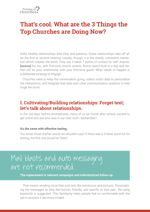

# **That's cool. What are the 3 Things the Top Churches are Doing Now?**

Solid, healthy relationships take time and patience. Some relationships take off after the first or second meeting. Usually, though, it is the steady, consistent interaction which creates the bond. They say it takes 7 points of contact to "sell" anyone. **[\[source\]](http://jaylipe.typepad.com/smart_marketing/2005/05/marketings_rule.html)** So, too, with first-time church visitors. Rome wasn't built in a day and neither will be your relationship with your first-time quest. What needs to happen is a deliberate strategy to engage.

Churches need to keep the conversation going, collect visitor data to personalize the interactions, and integrate that data with other communication systems to help forge the bond.

# **I. Cultivating/Building relationships: Forget text; let's talk about relationships.**

In the 'old days' before smartphones, many of us ran home after school, excited to get online and see who was in our chat room. Remember?

### **It's the same with effective texting.**

You know those 4-letter words we shouldn't say? If there was a 5-letter word list for texting, the first one would be "blast".

# Mail blasts and auto messaging are not recommended.

**The replacement is relevant campaigns and individualized follow-up.** 

That means sending more than just text, like emoticons and pictures. Personalizing the messages so they feel human, friendly, and specific to that user. Re-using keywords is suggested. This familiarity helps people feel so comfortable with the opt-in process it becomes a habit.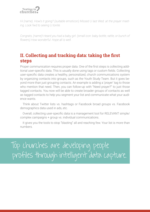

*Hi (name). How's it going? (suitable emoticon) Missed U last Wed. at the prayer meeting. Look fwd to seeing U tonite.*

*Congrats, (name)! Heard you had a baby girl. (small icon: baby bottle, rattle, or bunch of lowers) How wonderful. Hope all is well.* 

# **II.** Collecting and tracking data: taking the first **steps**

Proper communication requires proper data. One of the first steps is collecting additional user-specific data. This is usually done using tags or custom fields. Collecting user-specific data creates a healthy, personalized, church communications system by organizing contacts into groups, such as the Youth Study Team. But it goes beyond more than just grouping contacts. An example is adding a 'prayer' tag to those who mention that need. Then, you can follow-up with "Need prayer?" to just those tagged contacts. You now will be able to create broader groups of contacts as well as tagged contacts to help you segment your list and communicate what your audience wants.

Think about Twitter lists vs. hashtags or Facebook broad groups vs. Facebook demographics data used in ads, etc.

Overall, collecting user-specific data is a management tool for RELEVANT simple/ complex campaigns + group vs. individual communications.

It gives you the tools to stop "blasting" all and reaching few. Your list is more than numbers.

Top churches are developing people profiles through intelligent data capture.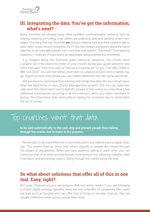# **III. Integrating the data: You've got the information; what's next?**

Many churches are already using other excellent communication systems such as sharing, listening, or inviting. Even others are collecting data and sending smart messages. One thing that top churches **are** doing is making sure that their systems talk to each other. Is your church doing this, too? If not, this creates a situation where the same data has to be manually entered into more than one system. The result? Time-wasting repetition + chances of inaccuracy as data keeps being entered and re-entered.

E.g. Imagine doing this first-time quest follow-up sequence: You simply place a graphic up in the welcome center of your church during your guest welcome segment that says, "First time with us? We have a special gift for you. Text WELCOME to 888-333-3333." You will then either send them to a digital connect card or better, trigger digital connect texts where you can collect additional info like name and email.

Will you have to come back that evening and merge that data into your email newsletter like MailChimp or your Church Management system? NO! You can automatically send this information over to specific groups or lists where you may have a few additional automations occurring or at the minimum, allow your team members to access the information they need without waiting for someone else to email them the list of names.

# Top churches want that data

**to be sent automatically to the next step and prevent people from falling through the cracks due to holes in the process.**

Remember, to be more effective in communication, you need to have a digital strategy. This means sharing Jesus with others digitally so people are moved through the stages of discipleship. When you have systems talking to each other, you can maximize your time while simultaneously minimizing errors, reducing volunteer staff frustration, and preventing visitors falling through the cracks along the way.

# **So what about solutions that offer all of this in one tool. Easy, right?**

Not quite. Chances are you will outgrow that tool within weeks if you are following a church digital strategy. Besides, there are only a handful of companies (like super big boys such as Google) who can offer tons of things in one app. Even so, they are usually ineffective when going outside their niche.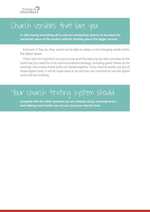

# Church vendors that lure you

**in with having everything all-in-one are stockpiling options to increase the perceived value of the product without thinking about the bigger picture.**

And even if they do, they would not be able to adapt to the changing needs within the digital space.

That's why it's important not just to look at all the add-ons but also consider all the tools that you need for a full communications strategy, including guest follow-up for example, and ensure these tools can speak together. If you need to switch out any of those digital tools, it will be super easy to do and you can continue to use the digital tools that are working.

# Your church texting system should

**integrate with the other systems you are already using, reducing errors, and making much better use of your (and your team's) time.**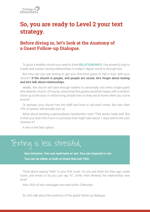

# **So, you are ready to Level 2 your text strategy.**

# **Before diving in, let's look at the Anatomy of a Guest Follow-up Dialogue.**

To grow a healthy church you need to think **RELATIONSHIPS**. One powerful way to create and sustain strong relationships in today's 'digital' world is through text.

But how can you use texting to get your first-time quest to 'fall in love' with your church? **If the church is people, and people are social, let's forget about texting and let's talk about relationships.**

Ideally, the church will have enough leaders to personally visit every single guest who attends church. Of course, assuming that guests would be happy with a random show-up at the door or will be living simple lives so they are at home when you come around.

Or perhaps your church has the staff and time to call each visitor. But less than 10% of guests will actually pick up.

What about sending a personalized, handwritten note? That works really well. But is that your best first move in a process that might take about 7 days before the user receives it?

A text is the best option.

# Texting is less stressful,

**less intrusive. You can read texts or not. You can respond or not. You can do either or both at times that suit YOU.**

Think about saying "hello" to your first crush. Do you ask them for their age, credit score, and email or do you just say "hi", smile, then develop the relationship over time?

Also, 90% of text messages are read within 3 Minutes.

So, let's talk about the anatomy of the guest follow-up dialogue.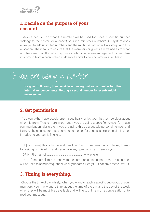

# **1. Decide on the purpose of your account:**

Make a decision on what the number will be used for. Does a specific number "belong" to the pastor (or a leader) or is it a ministry's number? Our system does allow you to add unlimited numbers and the multi-user option will also help with this allocation. The idea is to ensure that the members or guests are trained as to what numbers are what. It's not a major mistake but you do lose engagement if it feels like it's coming from a person then suddenly it shifts to be a communication blast.

# If you are using a number

**for guest follow-up, then consider not using that same number for other internal announcements. Getting a second number for events might make sense.**

### **2. Get permission.**

You can either have people opt-in specifically or let your first text be clear about who it is from. This is more important if you are using a specific number for mass communication, alerts etc. If you are using this as a pseudo-personal number and it's never being used for mass communication or for general alerts, then signing it or introducing yourself is fine. e.g.

Hi [Firstname], this is Michelle at Real Life Church. Just reaching out to say thanks for visiting us this wknd and if you have any questions, I am here for you.

OR Hi [Firstname], ……………………………………………….. – Michelle

OR Hi [Firstname], this is John with the communication department. This number will be used to send infrequent bi-weekly updates. Reply STOP at any time to OptOut.

# **3. Timing is everything.**

Choose the time of day wisely. When you want to reach a specific sub-group of your members, you may want to think about the time of the day and the day of the week when they will be most likely available and willing to chime in on a conversation or to read your message.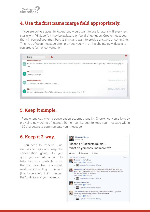

# **4. Use the first name merge field appropriately.**

If you are doing a guest follow-up, you would want to use it naturally. If every text starts with "Hi Jason", it may be awkward or feel disingenuous. Create messages that will compel your members to think and want to provide answers or comments. This type of open message often provides you with an insight into new ideas and can create further conversation.



# **5. Keep it simple.**

People tune out when a conversation becomes lengthy. Shorten conversations by providing new points of interest. Remember, it's best to keep your message within 160 characters to communicate your message.

### **6. Keep it 2-way.**

You need to respond. Find excuses to reply and keep the conversation going. As you grow, you can add a team to help. Let your contacts know that you care. Text is a social, relationship-building medium (like Facebook). Think beyond the 10 digits and your agenda.

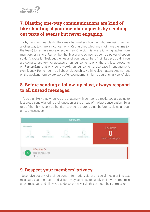# **7. Blasting one-way communications are kind of like shouting at your members/guests by sending out texts of events but never engaging.**

Why do churches blast? They may be smaller churches who are using text as another way to share announcements. Or churches which may not have the time (or the team) to text in a more effective way. One big mistake is ignoring replies from members or visitors. Remember that blasting to someone's cell is a powerful option so don't abuse it. Seek out the needs of your subscribers first like Jesus did. If you are going to use text for updates or announcements only, that's a loss. Accounts on *PastorsLine* that only send weekly announcements, decrease in engagement, significantly. Remember, it's all about relationship. Nothing else matters. And not just on the weekend. A midweek word of encouragement might be surprisingly beneficial.

# **8. Before sending a follow-up blast, always respond to all unread messages.**

It's very unlikely that when you are chatting with someone directly, you are going to just press 'send'—ignoring their question or the thread of the last conversation. So, a rule of thumb – keep it authentic: never send a group blast before resolving all your unread messages.



# **9. Respect your members' privacy.**

 Never give out any of their personal information, either on social media or in a text message. Your members and visitors may be happy to supply their own numbers in a text message and allow you to do so, but never do this without their permission.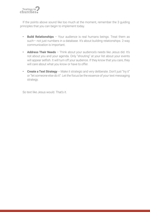

If the points above sound like too much at the moment, remember the 3 guiding principles that you can begin to implement today.

- **Build Relationships**  Your audience is real humans beings. Treat them as such— not just numbers in a database. It's about building relationships. 2-way communication is important.
- **Address Their Needs**  Think about your audience's needs like Jesus did. It's not about you and your agenda. Only "shouting" at your list about your events will appear selfish. It will turn off your audience. If they know that you care, they will care about what you know or have to offer.
- **Create a Text Strategy** Make it strategic and very deliberate. Don't just "try it" or "let someone else do it". Let the focus be the essence of your text messaging strategy.

So text like Jesus would. That's it.